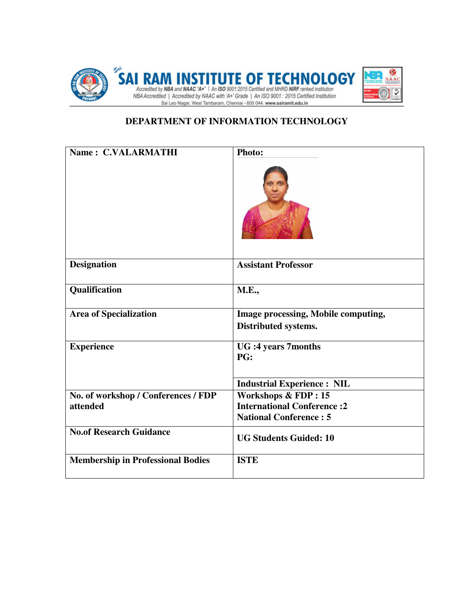

## **DEPARTMENT OF INFORMATION TECHNOLOGY**

| Name: C.VALARMATHI                              | Photo:                                                                                               |
|-------------------------------------------------|------------------------------------------------------------------------------------------------------|
| <b>Designation</b>                              | <b>Assistant Professor</b>                                                                           |
| Qualification                                   | <b>M.E.,</b>                                                                                         |
| <b>Area of Specialization</b>                   | Image processing, Mobile computing,<br>Distributed systems.                                          |
| <b>Experience</b>                               | <b>UG</b> :4 years 7months<br>PG:                                                                    |
|                                                 | <b>Industrial Experience: NIL</b>                                                                    |
| No. of workshop / Conferences / FDP<br>attended | <b>Workshops &amp; FDP: 15</b><br><b>International Conference:2</b><br><b>National Conference: 5</b> |
| <b>No.of Research Guidance</b>                  | <b>UG Students Guided: 10</b>                                                                        |
| <b>Membership in Professional Bodies</b>        | <b>ISTE</b>                                                                                          |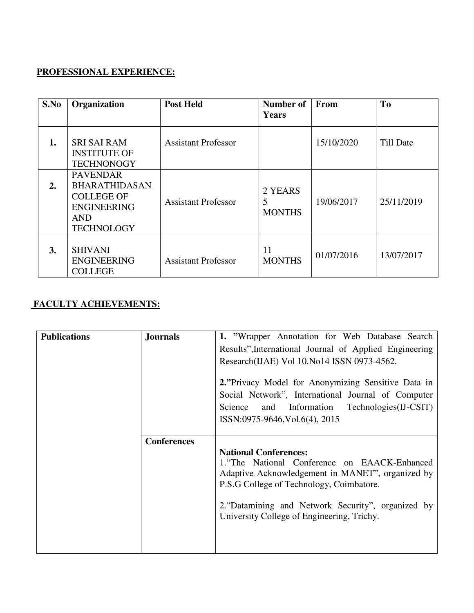## **PROFESSIONAL EXPERIENCE:**

| S.No | Organization                                                                                                          | <b>Post Held</b>           | Number of<br>Years            | From       | T <sub>0</sub> |
|------|-----------------------------------------------------------------------------------------------------------------------|----------------------------|-------------------------------|------------|----------------|
| 1.   | <b>SRI SAI RAM</b><br><b>INSTITUTE OF</b><br><b>TECHNONOGY</b>                                                        | <b>Assistant Professor</b> |                               | 15/10/2020 | Till Date      |
| 2.   | <b>PAVENDAR</b><br><b>BHARATHIDASAN</b><br><b>COLLEGE OF</b><br><b>ENGINEERING</b><br><b>AND</b><br><b>TECHNOLOGY</b> | <b>Assistant Professor</b> | 2 YEARS<br>5<br><b>MONTHS</b> | 19/06/2017 | 25/11/2019     |
| 3.   | <b>SHIVANI</b><br><b>ENGINEERING</b><br><b>COLLEGE</b>                                                                | <b>Assistant Professor</b> | 11<br><b>MONTHS</b>           | 01/07/2016 | 13/07/2017     |

## **FACULTY ACHIEVEMENTS:**

| <b>Publications</b> | <b>Journals</b>    | 1. "Wrapper Annotation for Web Database Search<br>Results", International Journal of Applied Engineering<br>Research(IJAE) Vol 10. No14 ISSN 0973-4562.<br>2. "Privacy Model for Anonymizing Sensitive Data in                                                                   |
|---------------------|--------------------|----------------------------------------------------------------------------------------------------------------------------------------------------------------------------------------------------------------------------------------------------------------------------------|
|                     |                    | Social Network", International Journal of Computer<br>Technologies (IJ-CSIT)<br>Science<br>Information<br>and<br>ISSN:0975-9646, Vol.6(4), 2015                                                                                                                                  |
|                     | <b>Conferences</b> | <b>National Conferences:</b><br>1. The National Conference on EAACK-Enhanced<br>Adaptive Acknowledgement in MANET", organized by<br>P.S.G College of Technology, Coimbatore.<br>2. "Datamining and Network Security", organized by<br>University College of Engineering, Trichy. |